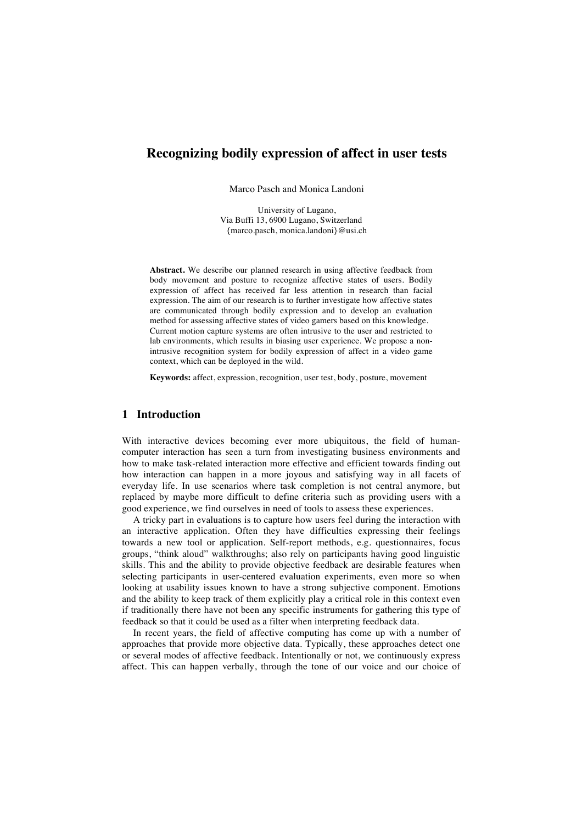# **Recognizing bodily expression of affect in user tests**

Marco Pasch and Monica Landoni

University of Lugano, Via Buffi 13, 6900 Lugano, Switzerland {marco.pasch, monica.landoni}@usi.ch

**Abstract.** We describe our planned research in using affective feedback from body movement and posture to recognize affective states of users. Bodily expression of affect has received far less attention in research than facial expression. The aim of our research is to further investigate how affective states are communicated through bodily expression and to develop an evaluation method for assessing affective states of video gamers based on this knowledge. Current motion capture systems are often intrusive to the user and restricted to lab environments, which results in biasing user experience. We propose a nonintrusive recognition system for bodily expression of affect in a video game context, which can be deployed in the wild.

**Keywords:** affect, expression, recognition, user test, body, posture, movement

# **1 Introduction**

With interactive devices becoming ever more ubiquitous, the field of humancomputer interaction has seen a turn from investigating business environments and how to make task-related interaction more effective and efficient towards finding out how interaction can happen in a more joyous and satisfying way in all facets of everyday life. In use scenarios where task completion is not central anymore, but replaced by maybe more difficult to define criteria such as providing users with a good experience, we find ourselves in need of tools to assess these experiences.

A tricky part in evaluations is to capture how users feel during the interaction with an interactive application. Often they have difficulties expressing their feelings towards a new tool or application. Self-report methods, e.g. questionnaires, focus groups, "think aloud" walkthroughs; also rely on participants having good linguistic skills. This and the ability to provide objective feedback are desirable features when selecting participants in user-centered evaluation experiments, even more so when looking at usability issues known to have a strong subjective component. Emotions and the ability to keep track of them explicitly play a critical role in this context even if traditionally there have not been any specific instruments for gathering this type of feedback so that it could be used as a filter when interpreting feedback data.

In recent years, the field of affective computing has come up with a number of approaches that provide more objective data. Typically, these approaches detect one or several modes of affective feedback. Intentionally or not, we continuously express affect. This can happen verbally, through the tone of our voice and our choice of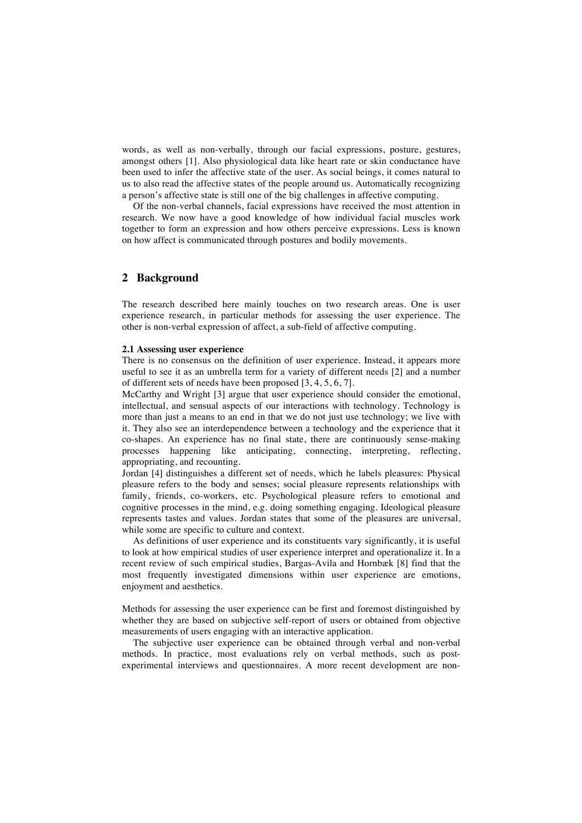words, as well as non-verbally, through our facial expressions, posture, gestures, amongst others [1]. Also physiological data like heart rate or skin conductance have been used to infer the affective state of the user. As social beings, it comes natural to us to also read the affective states of the people around us. Automatically recognizing a person's affective state is still one of the big challenges in affective computing.

Of the non-verbal channels, facial expressions have received the most attention in research. We now have a good knowledge of how individual facial muscles work together to form an expression and how others perceive expressions. Less is known on how affect is communicated through postures and bodily movements.

## **2 Background**

The research described here mainly touches on two research areas. One is user experience research, in particular methods for assessing the user experience. The other is non-verbal expression of affect, a sub-field of affective computing.

### **2.1 Assessing user experience**

There is no consensus on the definition of user experience. Instead, it appears more useful to see it as an umbrella term for a variety of different needs [2] and a number of different sets of needs have been proposed [3, 4, 5, 6, 7].

McCarthy and Wright [3] argue that user experience should consider the emotional, intellectual, and sensual aspects of our interactions with technology. Technology is more than just a means to an end in that we do not just use technology; we live with it. They also see an interdependence between a technology and the experience that it co-shapes. An experience has no final state, there are continuously sense-making processes happening like anticipating, connecting, interpreting, reflecting, appropriating, and recounting.

Jordan [4] distinguishes a different set of needs, which he labels pleasures: Physical pleasure refers to the body and senses; social pleasure represents relationships with family, friends, co-workers, etc. Psychological pleasure refers to emotional and cognitive processes in the mind, e.g. doing something engaging. Ideological pleasure represents tastes and values. Jordan states that some of the pleasures are universal, while some are specific to culture and context.

As definitions of user experience and its constituents vary significantly, it is useful to look at how empirical studies of user experience interpret and operationalize it. In a recent review of such empirical studies, Bargas-Avila and Hornbæk [8] find that the most frequently investigated dimensions within user experience are emotions, enjoyment and aesthetics.

Methods for assessing the user experience can be first and foremost distinguished by whether they are based on subjective self-report of users or obtained from objective measurements of users engaging with an interactive application.

The subjective user experience can be obtained through verbal and non-verbal methods. In practice, most evaluations rely on verbal methods, such as postexperimental interviews and questionnaires. A more recent development are non-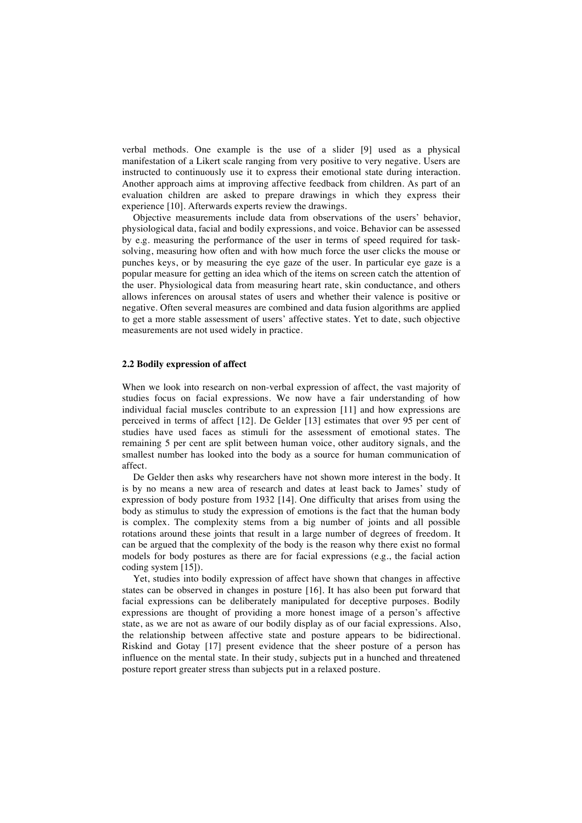verbal methods. One example is the use of a slider [9] used as a physical manifestation of a Likert scale ranging from very positive to very negative. Users are instructed to continuously use it to express their emotional state during interaction. Another approach aims at improving affective feedback from children. As part of an evaluation children are asked to prepare drawings in which they express their experience [10]. Afterwards experts review the drawings.

Objective measurements include data from observations of the users' behavior, physiological data, facial and bodily expressions, and voice. Behavior can be assessed by e.g. measuring the performance of the user in terms of speed required for tasksolving, measuring how often and with how much force the user clicks the mouse or punches keys, or by measuring the eye gaze of the user. In particular eye gaze is a popular measure for getting an idea which of the items on screen catch the attention of the user. Physiological data from measuring heart rate, skin conductance, and others allows inferences on arousal states of users and whether their valence is positive or negative. Often several measures are combined and data fusion algorithms are applied to get a more stable assessment of users' affective states. Yet to date, such objective measurements are not used widely in practice.

#### **2.2 Bodily expression of affect**

When we look into research on non-verbal expression of affect, the vast majority of studies focus on facial expressions. We now have a fair understanding of how individual facial muscles contribute to an expression [11] and how expressions are perceived in terms of affect [12]. De Gelder [13] estimates that over 95 per cent of studies have used faces as stimuli for the assessment of emotional states. The remaining 5 per cent are split between human voice, other auditory signals, and the smallest number has looked into the body as a source for human communication of affect.

De Gelder then asks why researchers have not shown more interest in the body. It is by no means a new area of research and dates at least back to James' study of expression of body posture from 1932 [14]. One difficulty that arises from using the body as stimulus to study the expression of emotions is the fact that the human body is complex. The complexity stems from a big number of joints and all possible rotations around these joints that result in a large number of degrees of freedom. It can be argued that the complexity of the body is the reason why there exist no formal models for body postures as there are for facial expressions (e.g., the facial action coding system [15]).

Yet, studies into bodily expression of affect have shown that changes in affective states can be observed in changes in posture [16]. It has also been put forward that facial expressions can be deliberately manipulated for deceptive purposes. Bodily expressions are thought of providing a more honest image of a person's affective state, as we are not as aware of our bodily display as of our facial expressions. Also, the relationship between affective state and posture appears to be bidirectional. Riskind and Gotay [17] present evidence that the sheer posture of a person has influence on the mental state. In their study, subjects put in a hunched and threatened posture report greater stress than subjects put in a relaxed posture.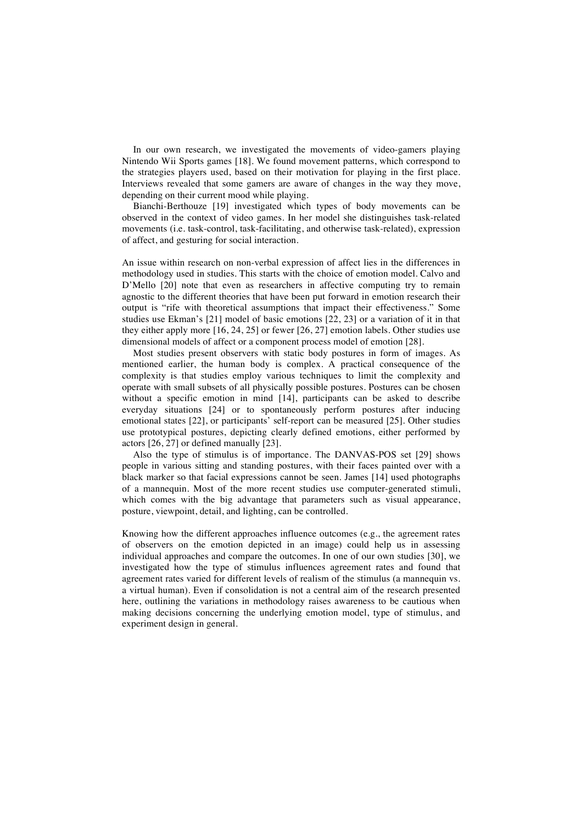In our own research, we investigated the movements of video-gamers playing Nintendo Wii Sports games [18]. We found movement patterns, which correspond to the strategies players used, based on their motivation for playing in the first place. Interviews revealed that some gamers are aware of changes in the way they move, depending on their current mood while playing.

Bianchi-Berthouze [19] investigated which types of body movements can be observed in the context of video games. In her model she distinguishes task-related movements (i.e. task-control, task-facilitating, and otherwise task-related), expression of affect, and gesturing for social interaction.

An issue within research on non-verbal expression of affect lies in the differences in methodology used in studies. This starts with the choice of emotion model. Calvo and D'Mello [20] note that even as researchers in affective computing try to remain agnostic to the different theories that have been put forward in emotion research their output is "rife with theoretical assumptions that impact their effectiveness." Some studies use Ekman's [21] model of basic emotions [22, 23] or a variation of it in that they either apply more [16, 24, 25] or fewer [26, 27] emotion labels. Other studies use dimensional models of affect or a component process model of emotion [28].

Most studies present observers with static body postures in form of images. As mentioned earlier, the human body is complex. A practical consequence of the complexity is that studies employ various techniques to limit the complexity and operate with small subsets of all physically possible postures. Postures can be chosen without a specific emotion in mind [14], participants can be asked to describe everyday situations [24] or to spontaneously perform postures after inducing emotional states [22], or participants' self-report can be measured [25]. Other studies use prototypical postures, depicting clearly defined emotions, either performed by actors [26, 27] or defined manually [23].

Also the type of stimulus is of importance. The DANVAS-POS set [29] shows people in various sitting and standing postures, with their faces painted over with a black marker so that facial expressions cannot be seen. James [14] used photographs of a mannequin. Most of the more recent studies use computer-generated stimuli, which comes with the big advantage that parameters such as visual appearance, posture, viewpoint, detail, and lighting, can be controlled.

Knowing how the different approaches influence outcomes (e.g., the agreement rates of observers on the emotion depicted in an image) could help us in assessing individual approaches and compare the outcomes. In one of our own studies [30], we investigated how the type of stimulus influences agreement rates and found that agreement rates varied for different levels of realism of the stimulus (a mannequin vs. a virtual human). Even if consolidation is not a central aim of the research presented here, outlining the variations in methodology raises awareness to be cautious when making decisions concerning the underlying emotion model, type of stimulus, and experiment design in general.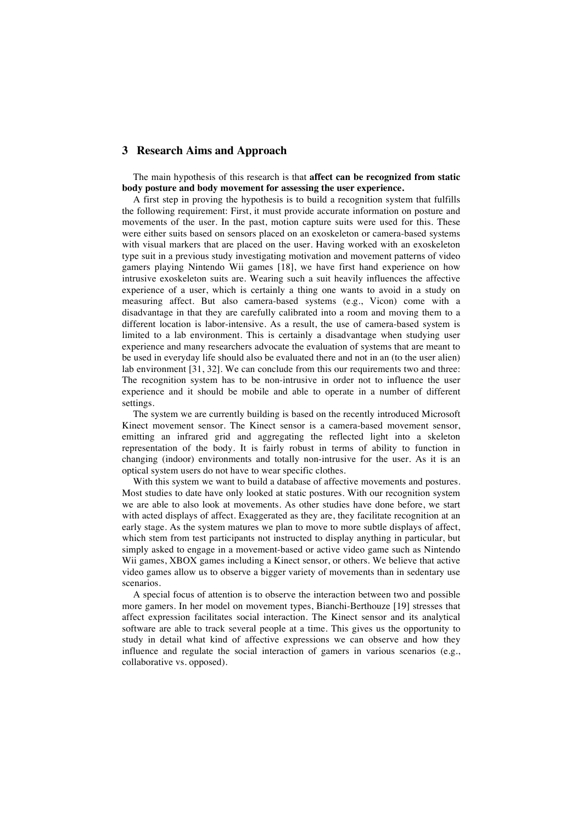### **3 Research Aims and Approach**

The main hypothesis of this research is that **affect can be recognized from static body posture and body movement for assessing the user experience.** 

A first step in proving the hypothesis is to build a recognition system that fulfills the following requirement: First, it must provide accurate information on posture and movements of the user. In the past, motion capture suits were used for this. These were either suits based on sensors placed on an exoskeleton or camera-based systems with visual markers that are placed on the user. Having worked with an exoskeleton type suit in a previous study investigating motivation and movement patterns of video gamers playing Nintendo Wii games [18], we have first hand experience on how intrusive exoskeleton suits are. Wearing such a suit heavily influences the affective experience of a user, which is certainly a thing one wants to avoid in a study on measuring affect. But also camera-based systems (e.g., Vicon) come with a disadvantage in that they are carefully calibrated into a room and moving them to a different location is labor-intensive. As a result, the use of camera-based system is limited to a lab environment. This is certainly a disadvantage when studying user experience and many researchers advocate the evaluation of systems that are meant to be used in everyday life should also be evaluated there and not in an (to the user alien) lab environment [31, 32]. We can conclude from this our requirements two and three: The recognition system has to be non-intrusive in order not to influence the user experience and it should be mobile and able to operate in a number of different settings.

The system we are currently building is based on the recently introduced Microsoft Kinect movement sensor. The Kinect sensor is a camera-based movement sensor, emitting an infrared grid and aggregating the reflected light into a skeleton representation of the body. It is fairly robust in terms of ability to function in changing (indoor) environments and totally non-intrusive for the user. As it is an optical system users do not have to wear specific clothes.

With this system we want to build a database of affective movements and postures. Most studies to date have only looked at static postures. With our recognition system we are able to also look at movements. As other studies have done before, we start with acted displays of affect. Exaggerated as they are, they facilitate recognition at an early stage. As the system matures we plan to move to more subtle displays of affect, which stem from test participants not instructed to display anything in particular, but simply asked to engage in a movement-based or active video game such as Nintendo Wii games, XBOX games including a Kinect sensor, or others. We believe that active video games allow us to observe a bigger variety of movements than in sedentary use scenarios.

A special focus of attention is to observe the interaction between two and possible more gamers. In her model on movement types, Bianchi-Berthouze [19] stresses that affect expression facilitates social interaction. The Kinect sensor and its analytical software are able to track several people at a time. This gives us the opportunity to study in detail what kind of affective expressions we can observe and how they influence and regulate the social interaction of gamers in various scenarios (e.g., collaborative vs. opposed).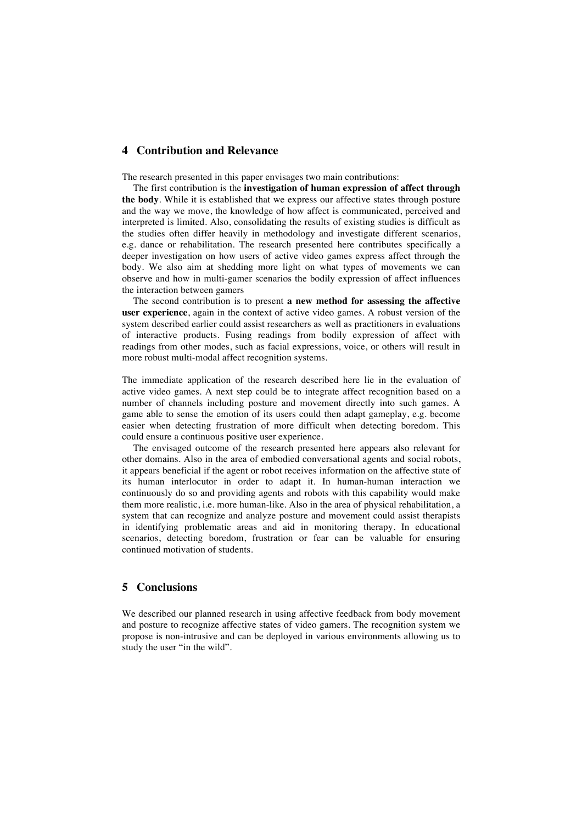### **4 Contribution and Relevance**

The research presented in this paper envisages two main contributions:

The first contribution is the **investigation of human expression of affect through the body**. While it is established that we express our affective states through posture and the way we move, the knowledge of how affect is communicated, perceived and interpreted is limited. Also, consolidating the results of existing studies is difficult as the studies often differ heavily in methodology and investigate different scenarios, e.g. dance or rehabilitation. The research presented here contributes specifically a deeper investigation on how users of active video games express affect through the body. We also aim at shedding more light on what types of movements we can observe and how in multi-gamer scenarios the bodily expression of affect influences the interaction between gamers

The second contribution is to present **a new method for assessing the affective user experience**, again in the context of active video games. A robust version of the system described earlier could assist researchers as well as practitioners in evaluations of interactive products. Fusing readings from bodily expression of affect with readings from other modes, such as facial expressions, voice, or others will result in more robust multi-modal affect recognition systems.

The immediate application of the research described here lie in the evaluation of active video games. A next step could be to integrate affect recognition based on a number of channels including posture and movement directly into such games. A game able to sense the emotion of its users could then adapt gameplay, e.g. become easier when detecting frustration of more difficult when detecting boredom. This could ensure a continuous positive user experience.

The envisaged outcome of the research presented here appears also relevant for other domains. Also in the area of embodied conversational agents and social robots, it appears beneficial if the agent or robot receives information on the affective state of its human interlocutor in order to adapt it. In human-human interaction we continuously do so and providing agents and robots with this capability would make them more realistic, i.e. more human-like. Also in the area of physical rehabilitation, a system that can recognize and analyze posture and movement could assist therapists in identifying problematic areas and aid in monitoring therapy. In educational scenarios, detecting boredom, frustration or fear can be valuable for ensuring continued motivation of students.

## **5 Conclusions**

We described our planned research in using affective feedback from body movement and posture to recognize affective states of video gamers. The recognition system we propose is non-intrusive and can be deployed in various environments allowing us to study the user "in the wild".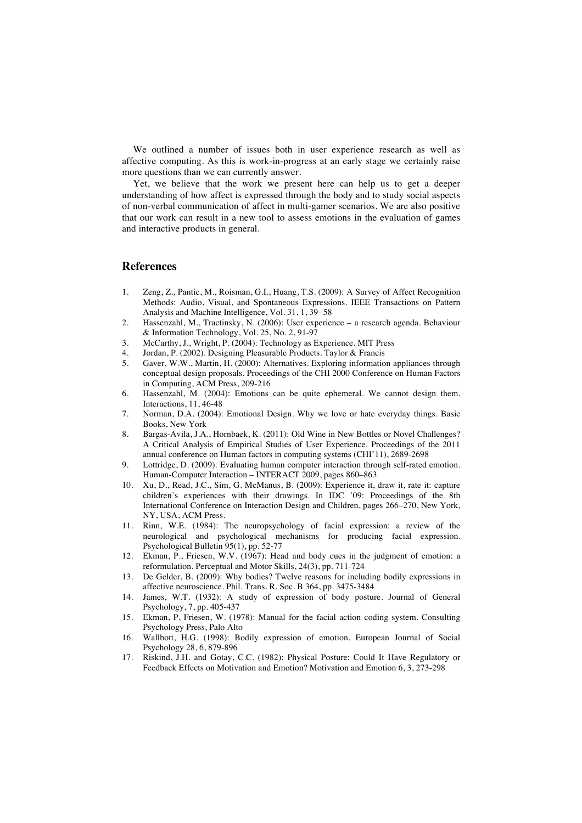We outlined a number of issues both in user experience research as well as affective computing. As this is work-in-progress at an early stage we certainly raise more questions than we can currently answer.

Yet, we believe that the work we present here can help us to get a deeper understanding of how affect is expressed through the body and to study social aspects of non-verbal communication of affect in multi-gamer scenarios. We are also positive that our work can result in a new tool to assess emotions in the evaluation of games and interactive products in general.

## **References**

- 1. Zeng, Z., Pantic, M., Roisman, G.I., Huang, T.S. (2009): A Survey of Affect Recognition Methods: Audio, Visual, and Spontaneous Expressions. IEEE Transactions on Pattern Analysis and Machine Intelligence, Vol. 31, 1, 39- 58
- 2. Hassenzahl, M., Tractinsky, N. (2006): User experience a research agenda. Behaviour & Information Technology, Vol. 25, No. 2, 91-97
- 3. McCarthy, J., Wright, P. (2004): Technology as Experience. MIT Press
- 4. Jordan, P. (2002). Designing Pleasurable Products. Taylor & Francis
- 5. Gaver, W.W., Martin, H. (2000): Alternatives. Exploring information appliances through conceptual design proposals. Proceedings of the CHI 2000 Conference on Human Factors in Computing, ACM Press, 209-216
- 6. Hassenzahl, M. (2004): Emotions can be quite ephemeral. We cannot design them. Interactions, 11, 46-48
- 7. Norman, D.A. (2004): Emotional Design. Why we love or hate everyday things. Basic Books, New York
- 8. Bargas-Avila, J.A., Hornbaek, K. (2011): Old Wine in New Bottles or Novel Challenges? A Critical Analysis of Empirical Studies of User Experience. Proceedings of the 2011 annual conference on Human factors in computing systems (CHI'11), 2689-2698
- 9. Lottridge, D. (2009): Evaluating human computer interaction through self-rated emotion. Human-Computer Interaction – INTERACT 2009, pages 860–863
- 10. Xu, D., Read, J.C., Sim, G. McManus, B. (2009): Experience it, draw it, rate it: capture children's experiences with their drawings. In IDC '09: Proceedings of the 8th International Conference on Interaction Design and Children, pages 266–270, New York, NY, USA, ACM Press.
- 11. Rinn, W.E. (1984): The neuropsychology of facial expression: a review of the neurological and psychological mechanisms for producing facial expression. Psychological Bulletin 95(1), pp. 52-77
- 12. Ekman, P., Friesen, W.V. (1967): Head and body cues in the judgment of emotion: a reformulation. Perceptual and Motor Skills, 24(3), pp. 711-724
- 13. De Gelder, B. (2009): Why bodies? Twelve reasons for including bodily expressions in affective neuroscience. Phil. Trans. R. Soc. B 364, pp. 3475-3484
- 14. James, W.T. (1932): A study of expression of body posture. Journal of General Psychology, 7, pp. 405-437
- 15. Ekman, P, Friesen, W. (1978): Manual for the facial action coding system. Consulting Psychology Press, Palo Alto
- 16. Wallbott, H.G. (1998): Bodily expression of emotion. European Journal of Social Psychology 28, 6, 879-896
- 17. Riskind, J.H. and Gotay, C.C. (1982): Physical Posture: Could It Have Regulatory or Feedback Effects on Motivation and Emotion? Motivation and Emotion 6, 3, 273-298